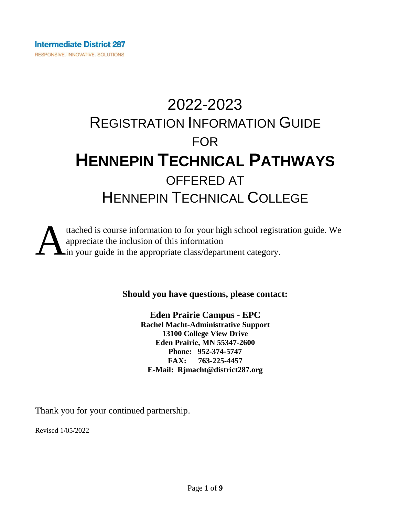# 2022-2023 REGISTRATION INFORMATION GUIDE FOR **HENNEPIN TECHNICAL PATHWAYS** OFFERED AT HENNEPIN TECHNICAL COLLEGE



**Should you have questions, please contact:**

**Eden Prairie Campus - EPC Rachel Macht-Administrative Support 13100 College View Drive Eden Prairie, MN 55347-2600 Phone: 952-374-5747 FAX: 763-225-4457 E-Mail: Rjmacht@district287.org**

Thank you for your continued partnership.

Revised 1/05/2022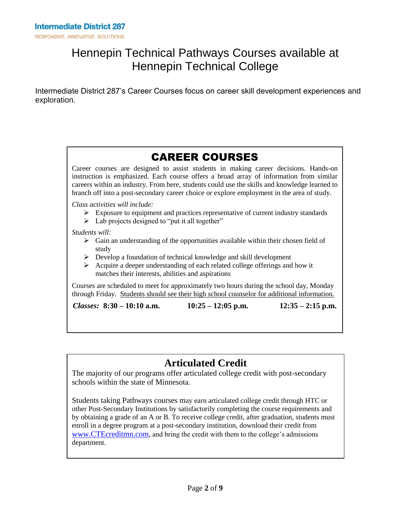### Hennepin Technical Pathways Courses available at Hennepin Technical College

Intermediate District 287's Career Courses focus on career skill development experiences and exploration.

## CAREER COURSES

Career courses are designed to assist students in making career decisions. Hands-on instruction is emphasized. Each course offers a broad array of information from similar careers within an industry. From here, students could use the skills and knowledge learned to branch off into a post-secondary career choice or explore employment in the area of study.

*Class activities will include:*

- $\triangleright$  Exposure to equipment and practices representative of current industry standards
- $\triangleright$  Lab projects designed to "put it all together"

*Students will:*

- $\triangleright$  Gain an understanding of the opportunities available within their chosen field of study
- $\triangleright$  Develop a foundation of technical knowledge and skill development
- $\triangleright$  Acquire a deeper understanding of each related college offerings and how it matches their interests, abilities and aspirations

Courses are scheduled to meet for approximately two hours during the school day, Monday through Friday. Students should see their high school counselor for additional information.

*Classes:* **8:30 – 10:10 a.m. 10:25 – 12:05 p.m. 12:35 – 2:15 p.m.**

### **Articulated Credit**

The majority of our programs offer articulated college credit with post-secondary schools within the state of Minnesota.

Students taking Pathways courses may earn articulated college credit through HTC or other Post-Secondary Institutions by satisfactorily completing the course requirements and by obtaining a grade of an A or B. To receive college credit, after graduation, students must enroll in a degree program at a post-secondary institution, download their credit from [www.CTEcreditmn.com](http://www.ctecreditmn.com/), and bring the credit with them to the college's admissions department.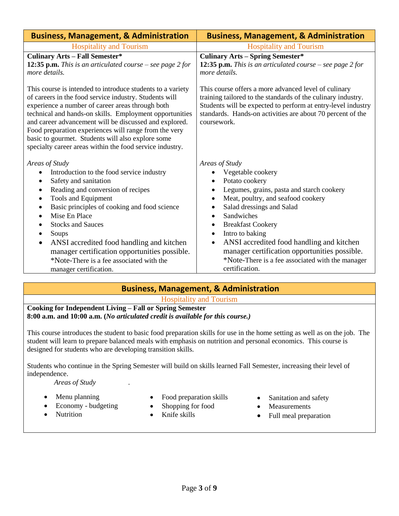| <b>Business, Management, &amp; Administration</b>                                                                                                                                                                                                                                                                                                                                                                                                                                                                               | <b>Business, Management, &amp; Administration</b>                                                                                                                                                                                                                                                                                                                                                                                                                                                      |
|---------------------------------------------------------------------------------------------------------------------------------------------------------------------------------------------------------------------------------------------------------------------------------------------------------------------------------------------------------------------------------------------------------------------------------------------------------------------------------------------------------------------------------|--------------------------------------------------------------------------------------------------------------------------------------------------------------------------------------------------------------------------------------------------------------------------------------------------------------------------------------------------------------------------------------------------------------------------------------------------------------------------------------------------------|
| <b>Hospitality and Tourism</b>                                                                                                                                                                                                                                                                                                                                                                                                                                                                                                  | <b>Hospitality and Tourism</b>                                                                                                                                                                                                                                                                                                                                                                                                                                                                         |
| <b>Culinary Arts - Fall Semester*</b><br>12:35 p.m. This is an articulated course – see page $2$ for<br>more details.                                                                                                                                                                                                                                                                                                                                                                                                           | <b>Culinary Arts - Spring Semester*</b><br>12:35 p.m. This is an articulated course – see page $2$ for<br>more details.                                                                                                                                                                                                                                                                                                                                                                                |
| This course is intended to introduce students to a variety<br>of careers in the food service industry. Students will<br>experience a number of career areas through both<br>technical and hands-on skills. Employment opportunities<br>and career advancement will be discussed and explored.<br>Food preparation experiences will range from the very<br>basic to gourmet. Students will also explore some<br>specialty career areas within the food service industry.                                                         | This course offers a more advanced level of culinary<br>training tailored to the standards of the culinary industry.<br>Students will be expected to perform at entry-level industry<br>standards. Hands-on activities are about 70 percent of the<br>coursework.                                                                                                                                                                                                                                      |
| Areas of Study<br>Introduction to the food service industry<br>٠<br>Safety and sanitation<br>$\bullet$<br>Reading and conversion of recipes<br>$\bullet$<br>Tools and Equipment<br>$\bullet$<br>Basic principles of cooking and food science<br>$\bullet$<br>Mise En Place<br>$\bullet$<br><b>Stocks and Sauces</b><br>٠<br>Soups<br>$\bullet$<br>ANSI accredited food handling and kitchen<br>$\bullet$<br>manager certification opportunities possible.<br>*Note-There is a fee associated with the<br>manager certification. | Areas of Study<br>Vegetable cookery<br>Potato cookery<br>$\bullet$<br>Legumes, grains, pasta and starch cookery<br>$\bullet$<br>Meat, poultry, and seafood cookery<br>$\bullet$<br>Salad dressings and Salad<br>٠<br>Sandwiches<br>$\bullet$<br><b>Breakfast Cookery</b><br>$\bullet$<br>Intro to baking<br>$\bullet$<br>ANSI accredited food handling and kitchen<br>$\bullet$<br>manager certification opportunities possible.<br>*Note-There is a fee associated with the manager<br>certification. |

### **Business, Management, & Administration**

Hospitality and Tourism

**Cooking for Independent Living – Fall or Spring Semester 8:00 a.m. and 10:00 a.m. (***No articulated credit is available for this course.)*

This course introduces the student to basic food preparation skills for use in the home setting as well as on the job. The student will learn to prepare balanced meals with emphasis on nutrition and personal economics. This course is designed for students who are developing transition skills.

Students who continue in the Spring Semester will build on skills learned Fall Semester, increasing their level of independence.

 *Areas of Study* .

- Menu planning
	- Economy budgeting
- Nutrition
- Food preparation skills
- Shopping for food
- Knife skills
- Sanitation and safety
- Measurements
- Full meal preparation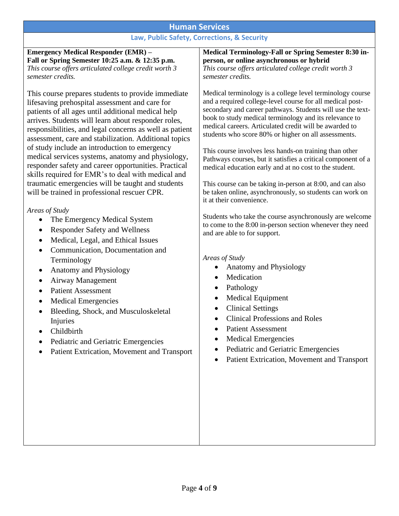### **Human Services**

### **Law, Public Safety, Corrections, & Security**

| <b>Emergency Medical Responder (EMR) -</b><br>Fall or Spring Semester 10:25 a.m. & 12:35 p.m.<br>This course offers articulated college credit worth 3<br>semester credits.<br>This course prepares students to provide immediate<br>lifesaving prehospital assessment and care for<br>patients of all ages until additional medical help<br>arrives. Students will learn about responder roles,<br>responsibilities, and legal concerns as well as patient<br>assessment, care and stabilization. Additional topics<br>of study include an introduction to emergency<br>medical services systems, anatomy and physiology,<br>responder safety and career opportunities. Practical<br>skills required for EMR's to deal with medical and<br>traumatic emergencies will be taught and students<br>will be trained in professional rescuer CPR. | Medical Terminology-Fall or Spring Semester 8:30 in-<br>person, or online asynchronous or hybrid<br>This course offers articulated college credit worth 3<br>semester credits.<br>Medical terminology is a college level terminology course<br>and a required college-level course for all medical post-<br>secondary and career pathways. Students will use the text-<br>book to study medical terminology and its relevance to<br>medical careers. Articulated credit will be awarded to<br>students who score 80% or higher on all assessments.<br>This course involves less hands-on training than other<br>Pathways courses, but it satisfies a critical component of a<br>medical education early and at no cost to the student.<br>This course can be taking in-person at 8:00, and can also<br>be taken online, asynchronously, so students can work on<br>it at their convenience. |
|-----------------------------------------------------------------------------------------------------------------------------------------------------------------------------------------------------------------------------------------------------------------------------------------------------------------------------------------------------------------------------------------------------------------------------------------------------------------------------------------------------------------------------------------------------------------------------------------------------------------------------------------------------------------------------------------------------------------------------------------------------------------------------------------------------------------------------------------------|---------------------------------------------------------------------------------------------------------------------------------------------------------------------------------------------------------------------------------------------------------------------------------------------------------------------------------------------------------------------------------------------------------------------------------------------------------------------------------------------------------------------------------------------------------------------------------------------------------------------------------------------------------------------------------------------------------------------------------------------------------------------------------------------------------------------------------------------------------------------------------------------|
| Areas of Study                                                                                                                                                                                                                                                                                                                                                                                                                                                                                                                                                                                                                                                                                                                                                                                                                                |                                                                                                                                                                                                                                                                                                                                                                                                                                                                                                                                                                                                                                                                                                                                                                                                                                                                                             |
| The Emergency Medical System<br><b>Responder Safety and Wellness</b><br>$\bullet$<br>Medical, Legal, and Ethical Issues<br>$\bullet$<br>Communication, Documentation and<br>$\bullet$<br>Terminology<br>Anatomy and Physiology<br>$\bullet$<br><b>Airway Management</b><br>$\bullet$<br><b>Patient Assessment</b><br>$\bullet$<br><b>Medical Emergencies</b><br>$\bullet$<br>Bleeding, Shock, and Musculoskeletal<br>$\bullet$                                                                                                                                                                                                                                                                                                                                                                                                                | Students who take the course asynchronously are welcome<br>to come to the 8:00 in-person section whenever they need<br>and are able to for support.<br>Areas of Study<br>Anatomy and Physiology<br>Medication<br>$\bullet$<br>Pathology<br>٠<br><b>Medical Equipment</b><br>$\bullet$<br><b>Clinical Settings</b><br>$\bullet$                                                                                                                                                                                                                                                                                                                                                                                                                                                                                                                                                              |
| Injuries                                                                                                                                                                                                                                                                                                                                                                                                                                                                                                                                                                                                                                                                                                                                                                                                                                      | <b>Clinical Professions and Roles</b>                                                                                                                                                                                                                                                                                                                                                                                                                                                                                                                                                                                                                                                                                                                                                                                                                                                       |
| Childbirth<br>$\bullet$                                                                                                                                                                                                                                                                                                                                                                                                                                                                                                                                                                                                                                                                                                                                                                                                                       | <b>Patient Assessment</b>                                                                                                                                                                                                                                                                                                                                                                                                                                                                                                                                                                                                                                                                                                                                                                                                                                                                   |
|                                                                                                                                                                                                                                                                                                                                                                                                                                                                                                                                                                                                                                                                                                                                                                                                                                               | <b>Medical Emergencies</b>                                                                                                                                                                                                                                                                                                                                                                                                                                                                                                                                                                                                                                                                                                                                                                                                                                                                  |
| Pediatric and Geriatric Emergencies                                                                                                                                                                                                                                                                                                                                                                                                                                                                                                                                                                                                                                                                                                                                                                                                           | Pediatric and Geriatric Emergencies                                                                                                                                                                                                                                                                                                                                                                                                                                                                                                                                                                                                                                                                                                                                                                                                                                                         |
| Patient Extrication, Movement and Transport                                                                                                                                                                                                                                                                                                                                                                                                                                                                                                                                                                                                                                                                                                                                                                                                   |                                                                                                                                                                                                                                                                                                                                                                                                                                                                                                                                                                                                                                                                                                                                                                                                                                                                                             |
|                                                                                                                                                                                                                                                                                                                                                                                                                                                                                                                                                                                                                                                                                                                                                                                                                                               | Patient Extrication, Movement and Transport                                                                                                                                                                                                                                                                                                                                                                                                                                                                                                                                                                                                                                                                                                                                                                                                                                                 |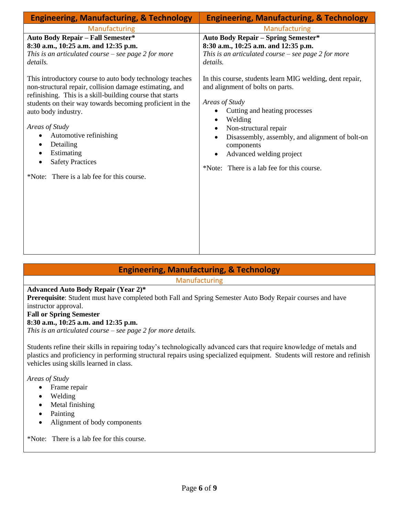| <b>Engineering, Manufacturing, &amp; Technology</b>                                                                                                                                                                                                                                          | <b>Engineering, Manufacturing, &amp; Technology</b>                                                                                                                                                                  |
|----------------------------------------------------------------------------------------------------------------------------------------------------------------------------------------------------------------------------------------------------------------------------------------------|----------------------------------------------------------------------------------------------------------------------------------------------------------------------------------------------------------------------|
| Manufacturing                                                                                                                                                                                                                                                                                | Manufacturing                                                                                                                                                                                                        |
| <b>Auto Body Repair - Fall Semester*</b><br>8:30 a.m., 10:25 a.m. and 12:35 p.m.<br>This is an articulated course $-$ see page 2 for more<br>details.<br>This introductory course to auto body technology teaches                                                                            | <b>Auto Body Repair - Spring Semester*</b><br>8:30 a.m., 10:25 a.m. and 12:35 p.m.<br>This is an articulated course $-$ see page 2 for more<br>details.<br>In this course, students learn MIG welding, dent repair,  |
| non-structural repair, collision damage estimating, and<br>refinishing. This is a skill-building course that starts<br>students on their way towards becoming proficient in the<br>auto body industry.<br>Areas of Study<br>Automotive refinishing<br>٠<br>Detailing<br>٠<br>Estimating<br>٠ | and alignment of bolts on parts.<br>Areas of Study<br>Cutting and heating processes<br>Welding<br>Non-structural repair<br>Disassembly, assembly, and alignment of bolt-on<br>components<br>Advanced welding project |
| <b>Safety Practices</b><br>$\bullet$<br>*Note: There is a lab fee for this course.                                                                                                                                                                                                           | *Note: There is a lab fee for this course.                                                                                                                                                                           |

**Engineering, Manufacturing, & Technology**

Manufacturing

#### **Advanced Auto Body Repair (Year 2)\***

**Prerequisite**: Student must have completed both Fall and Spring Semester Auto Body Repair courses and have instructor approval.

#### **Fall or Spring Semester**

#### **8:30 a.m., 10:25 a.m. and 12:35 p.m.**

*This is an articulated course – see page 2 for more details.*

Students refine their skills in repairing today's technologically advanced cars that require knowledge of metals and plastics and proficiency in performing structural repairs using specialized equipment. Students will restore and refinish vehicles using skills learned in class.

*Areas of Study*

- Frame repair
- Welding
- Metal finishing
- Painting
- Alignment of body components

\*Note: There is a lab fee for this course.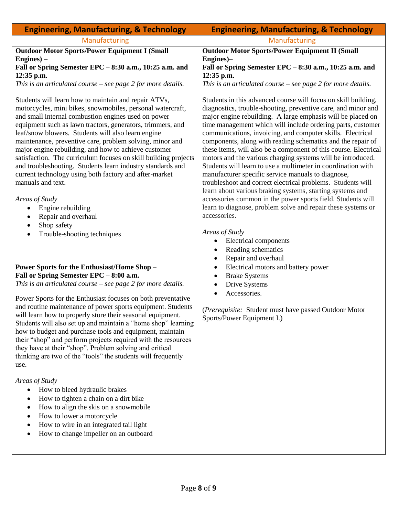| <b>Engineering, Manufacturing, &amp; Technology</b>                                                                                                                                                                                                                                                                                                                                                                                                                                                                                                                                                                                                                                                                                                                               | <b>Engineering, Manufacturing, &amp; Technology</b>                                                                                                                                                                                                                                                                                                                                                                                                                                                                                                                                                                                                                                                                                                                                                                                                                                                                                              |
|-----------------------------------------------------------------------------------------------------------------------------------------------------------------------------------------------------------------------------------------------------------------------------------------------------------------------------------------------------------------------------------------------------------------------------------------------------------------------------------------------------------------------------------------------------------------------------------------------------------------------------------------------------------------------------------------------------------------------------------------------------------------------------------|--------------------------------------------------------------------------------------------------------------------------------------------------------------------------------------------------------------------------------------------------------------------------------------------------------------------------------------------------------------------------------------------------------------------------------------------------------------------------------------------------------------------------------------------------------------------------------------------------------------------------------------------------------------------------------------------------------------------------------------------------------------------------------------------------------------------------------------------------------------------------------------------------------------------------------------------------|
| Manufacturing                                                                                                                                                                                                                                                                                                                                                                                                                                                                                                                                                                                                                                                                                                                                                                     | Manufacturing                                                                                                                                                                                                                                                                                                                                                                                                                                                                                                                                                                                                                                                                                                                                                                                                                                                                                                                                    |
| <b>Outdoor Motor Sports/Power Equipment I (Small</b><br>$Engineering) -$                                                                                                                                                                                                                                                                                                                                                                                                                                                                                                                                                                                                                                                                                                          | <b>Outdoor Motor Sports/Power Equipment II (Small</b><br>Engines)-                                                                                                                                                                                                                                                                                                                                                                                                                                                                                                                                                                                                                                                                                                                                                                                                                                                                               |
| Fall or Spring Semester EPC - 8:30 a.m., 10:25 a.m. and<br>12:35 p.m.                                                                                                                                                                                                                                                                                                                                                                                                                                                                                                                                                                                                                                                                                                             | Fall or Spring Semester EPC - 8:30 a.m., 10:25 a.m. and<br>12:35 p.m.                                                                                                                                                                                                                                                                                                                                                                                                                                                                                                                                                                                                                                                                                                                                                                                                                                                                            |
| This is an articulated course $-$ see page 2 for more details.                                                                                                                                                                                                                                                                                                                                                                                                                                                                                                                                                                                                                                                                                                                    | This is an articulated course $-$ see page 2 for more details.                                                                                                                                                                                                                                                                                                                                                                                                                                                                                                                                                                                                                                                                                                                                                                                                                                                                                   |
| Students will learn how to maintain and repair ATVs,<br>motorcycles, mini bikes, snowmobiles, personal watercraft,<br>and small internal combustion engines used on power<br>equipment such as lawn tractors, generators, trimmers, and<br>leaf/snow blowers. Students will also learn engine<br>maintenance, preventive care, problem solving, minor and<br>major engine rebuilding, and how to achieve customer<br>satisfaction. The curriculum focuses on skill building projects<br>and troubleshooting. Students learn industry standards and<br>current technology using both factory and after-market<br>manuals and text.<br>Areas of Study<br>Engine rebuilding<br>٠<br>Repair and overhaul<br>$\bullet$<br>Shop safety<br>٠<br>Trouble-shooting techniques<br>$\bullet$ | Students in this advanced course will focus on skill building,<br>diagnostics, trouble-shooting, preventive care, and minor and<br>major engine rebuilding. A large emphasis will be placed on<br>time management which will include ordering parts, customer<br>communications, invoicing, and computer skills. Electrical<br>components, along with reading schematics and the repair of<br>these items, will also be a component of this course. Electrical<br>motors and the various charging systems will be introduced.<br>Students will learn to use a multimeter in coordination with<br>manufacturer specific service manuals to diagnose,<br>troubleshoot and correct electrical problems. Students will<br>learn about various braking systems, starting systems and<br>accessories common in the power sports field. Students will<br>learn to diagnose, problem solve and repair these systems or<br>accessories.<br>Areas of Study |
|                                                                                                                                                                                                                                                                                                                                                                                                                                                                                                                                                                                                                                                                                                                                                                                   | Electrical components<br>Reading schematics<br>Repair and overhaul                                                                                                                                                                                                                                                                                                                                                                                                                                                                                                                                                                                                                                                                                                                                                                                                                                                                               |
| <b>Power Sports for the Enthusiast/Home Shop-</b><br>Fall or Spring Semester EPC - 8:00 a.m.                                                                                                                                                                                                                                                                                                                                                                                                                                                                                                                                                                                                                                                                                      | Electrical motors and battery power<br>$\bullet$                                                                                                                                                                                                                                                                                                                                                                                                                                                                                                                                                                                                                                                                                                                                                                                                                                                                                                 |
| This is an articulated course $-$ see page 2 for more details.                                                                                                                                                                                                                                                                                                                                                                                                                                                                                                                                                                                                                                                                                                                    | <b>Brake Systems</b><br>Drive Systems<br>٠                                                                                                                                                                                                                                                                                                                                                                                                                                                                                                                                                                                                                                                                                                                                                                                                                                                                                                       |
| Power Sports for the Enthusiast focuses on both preventative                                                                                                                                                                                                                                                                                                                                                                                                                                                                                                                                                                                                                                                                                                                      | Accessories.<br>$\bullet$                                                                                                                                                                                                                                                                                                                                                                                                                                                                                                                                                                                                                                                                                                                                                                                                                                                                                                                        |
| and routine maintenance of power sports equipment. Students<br>will learn how to properly store their seasonal equipment.<br>Students will also set up and maintain a "home shop" learning<br>how to budget and purchase tools and equipment, maintain<br>their "shop" and perform projects required with the resources<br>they have at their "shop". Problem solving and critical<br>thinking are two of the "tools" the students will frequently<br>use.                                                                                                                                                                                                                                                                                                                        | (Prerequisite: Student must have passed Outdoor Motor<br>Sports/Power Equipment I.)                                                                                                                                                                                                                                                                                                                                                                                                                                                                                                                                                                                                                                                                                                                                                                                                                                                              |
| Areas of Study<br>How to bleed hydraulic brakes<br>$\bullet$<br>How to tighten a chain on a dirt bike<br>$\bullet$<br>How to align the skis on a snowmobile<br>$\bullet$<br>How to lower a motorcycle<br>$\bullet$<br>How to wire in an integrated tail light<br>$\bullet$<br>How to change impeller on an outboard<br>$\bullet$                                                                                                                                                                                                                                                                                                                                                                                                                                                  |                                                                                                                                                                                                                                                                                                                                                                                                                                                                                                                                                                                                                                                                                                                                                                                                                                                                                                                                                  |